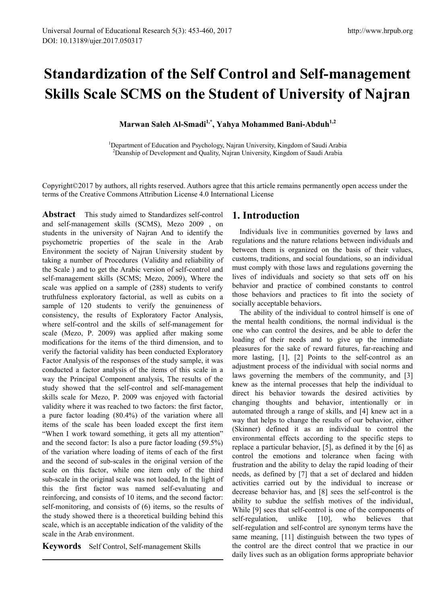# **Standardization of the Self Control and Self-management Skills Scale SCMS on the Student of University of Najran**

**Marwan Saleh Al-Smadi1,\*, Yahya Mohammed Bani-Abduh1,2**

<sup>1</sup>Department of Education and Psychology, Najran University, Kingdom of Saudi Arabia<br><sup>2</sup>Departing of Davelopment and Quality, Najran University, Kingdom of Saudi Arabia <sup>2</sup>Deanship of Development and Quality, Najran University, Kingdom of Saudi Arabia

Copyright©2017 by authors, all rights reserved. Authors agree that this article remains permanently open access under the terms of the Creative Commons Attribution License 4.0 International License

**Abstract** This study aimed to Standardizes self-control and self-management skills (SCMS), Mezo 2009 , on students in the university of Najran And to identify the psychometric properties of the scale in the Arab Environment the society of Najran University student by taking a number of Procedures (Validity and reliability of the Scale ) and to get the Arabic version of self-control and self-management skills (SCMS; Mezo, 2009), Where the scale was applied on a sample of (288) students to verify truthfulness exploratory factorial, as well as cubits on a sample of 120 students to verify the genuineness of consistency, the results of Exploratory Factor Analysis, where self-control and the skills of self-management for scale (Mezo, P. 2009) was applied after making some modifications for the items of the third dimension, and to verify the factorial validity has been conducted Exploratory Factor Analysis of the responses of the study sample, it was conducted a factor analysis of the items of this scale in a way the Principal Component analysis, The results of the study showed that the self-control and self-management skills scale for Mezo, P. 2009 was enjoyed with factorial validity where it was reached to two factors: the first factor, a pure factor loading (80.4%) of the variation where all items of the scale has been loaded except the first item "When I work toward something, it gets all my attention" and the second factor: Is also a pure factor loading (59.5%) of the variation where loading of items of each of the first and the second of sub-scales in the original version of the scale on this factor, while one item only of the third sub-scale in the original scale was not loaded, In the light of this the first factor was named self-evaluating and reinforcing, and consists of 10 items, and the second factor: self-monitoring, and consists of (6) items, so the results of the study showed there is a theoretical building behind this scale, which is an acceptable indication of the validity of the scale in the Arab environment.

**Keywords** Self Control, Self-management Skills

# **1. Introduction**

Individuals live in communities governed by laws and regulations and the nature relations between individuals and between them is organized on the basis of their values, customs, traditions, and social foundations, so an individual must comply with those laws and regulations governing the lives of individuals and society so that sets off on his behavior and practice of combined constants to control those behaviors and practices to fit into the society of socially acceptable behaviors.

The ability of the individual to control himself is one of the mental health conditions, the normal individual is the one who can control the desires, and be able to defer the loading of their needs and to give up the immediate pleasures for the sake of reward futures, far-reaching and more lasting, [1], [2] Points to the self-control as an adjustment process of the individual with social norms and laws governing the members of the community, and [3] knew as the internal processes that help the individual to direct his behavior towards the desired activities by changing thoughts and behavior, intentionally or in automated through a range of skills, and [4] knew act in a way that helps to change the results of our behavior, either (Skinner) defined it as an individual to control the environmental effects according to the specific steps to replace a particular behavior, [5], as defined it by the [6] as control the emotions and tolerance when facing with frustration and the ability to delay the rapid loading of their needs, as defined by [7] that a set of declared and hidden activities carried out by the individual to increase or decrease behavior has, and [8] sees the self-control is the ability to subdue the selfish motives of the individual, While [9] sees that self-control is one of the components of self-regulation, unlike [10], who believes that self-regulation and self-control are synonym terms have the same meaning, [11] distinguish between the two types of the control are the direct control that we practice in our daily lives such as an obligation forms appropriate behavior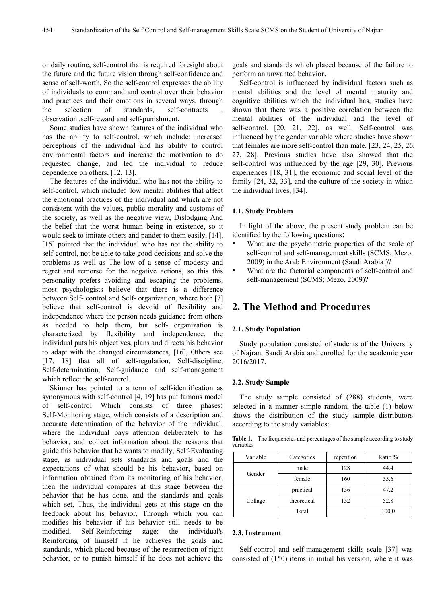or daily routine, self-control that is required foresight about the future and the future vision through self-confidence and sense of self-worth, So the self-control expresses the ability of individuals to command and control over their behavior and practices and their emotions in several ways, through the selection of standards, self-contracts , observation ,self-reward and self-punishment.

Some studies have shown features of the individual who has the ability to self-control, which include: increased perceptions of the individual and his ability to control environmental factors and increase the motivation to do requested change, and led the individual to reduce dependence on others, [12, 13].

The features of the individual who has not the ability to self-control, which include: low mental abilities that affect the emotional practices of the individual and which are not consistent with the values, public morality and customs of the society, as well as the negative view, Dislodging And the belief that the worst human being in existence, so it would seek to imitate others and pander to them easily, [14], [15] pointed that the individual who has not the ability to self-control, not be able to take good decisions and solve the problems as well as The low of a sense of modesty and regret and remorse for the negative actions, so this this personality prefers avoiding and escaping the problems, most psychologists believe that there is a difference between Self- control and Self- organization, where both [7] believe that self-control is devoid of flexibility and independence where the person needs guidance from others as needed to help them, but self- organization is characterized by flexibility and independence, the individual puts his objectives, plans and directs his behavior to adapt with the changed circumstances, [16], Others see [17, 18] that all of self-regulation, Self-discipline, Self-determination, Self-guidance and self-management which reflect the self-control.

Skinner has pointed to a term of self-identification as synonymous with self-control [4, 19] has put famous model of self-control Which consists of three phases: Self-Monitoring stage, which consists of a description and accurate determination of the behavior of the individual, where the individual pays attention deliberately to his behavior, and collect information about the reasons that guide this behavior that he wants to modify, Self-Evaluating stage, as individual sets standards and goals and the expectations of what should be his behavior, based on information obtained from its monitoring of his behavior, then the individual compares at this stage between the behavior that he has done, and the standards and goals which set, Thus, the individual gets at this stage on the feedback about his behavior, Through which you can modifies his behavior if his behavior still needs to be modified, Self-Reinforcing stage: the individual's Reinforcing of himself if he achieves the goals and standards, which placed because of the resurrection of right behavior, or to punish himself if he does not achieve the

goals and standards which placed because of the failure to perform an unwanted behavior.

Self-control is influenced by individual factors such as mental abilities and the level of mental maturity and cognitive abilities which the individual has, studies have shown that there was a positive correlation between the mental abilities of the individual and the level of self-control. [20, 21, 22], as well. Self-control was influenced by the gender variable where studies have shown that females are more self-control than male. [23, 24, 25, 26, 27, 28], Previous studies have also showed that the self-control was influenced by the age [29, 30], Previous experiences [18, 31], the economic and social level of the family [24, 32, 33], and the culture of the society in which the individual lives, [34].

#### **1.1. Study Problem**

In light of the above, the present study problem can be identified by the following questions:

- What are the psychometric properties of the scale of self-control and self-management skills (SCMS; Mezo, 2009) in the Arab Environment (Saudi Arabia )?
- What are the factorial components of self-control and self-management (SCMS; Mezo, 2009)?

# **2. The Method and Procedures**

#### **2.1. Study Population**

Study population consisted of students of the University of Najran, Saudi Arabia and enrolled for the academic year 2016/2017.

#### **2.2. Study Sample**

The study sample consisted of (288) students, were selected in a manner simple random, the table (1) below shows the distribution of the study sample distributors according to the study variables:

| Variable | Categories  | repetition | Ratio % |
|----------|-------------|------------|---------|
| Gender   | male        | 128        | 44.4    |
|          | female      | 160        | 55.6    |
|          | practical   | 136        | 47.2    |
| Collage  | theoretical | 152        | 52.8    |
|          | Total       |            | 100.0   |

Table 1. The frequencies and percentages of the sample according to study variables

#### **2.3. Instrument**

Self-control and self-management skills scale [37] was consisted of (150) items in initial his version, where it was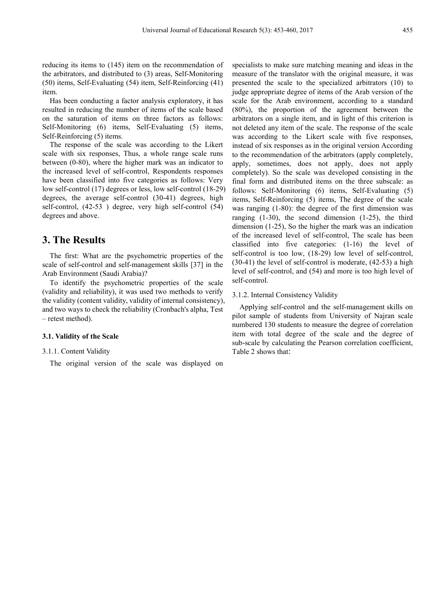reducing its items to (145) item on the recommendation of the arbitrators, and distributed to (3) areas, Self-Monitoring (50) items, Self-Evaluating (54) item, Self-Reinforcing (41) item.

Has been conducting a factor analysis exploratory, it has resulted in reducing the number of items of the scale based on the saturation of items on three factors as follows: Self-Monitoring (6) items, Self-Evaluating (5) items, Self-Reinforcing (5) items.

The response of the scale was according to the Likert scale with six responses, Thus, a whole range scale runs between (0-80), where the higher mark was an indicator to the increased level of self-control, Respondents responses have been classified into five categories as follows: Very low self-control (17) degrees or less, low self-control (18-29) degrees, the average self-control (30-41) degrees, high self-control, (42-53 ) degree, very high self-control (54) degrees and above.

### **3. The Results**

The first: What are the psychometric properties of the scale of self-control and self-management skills [37] in the Arab Environment (Saudi Arabia)?

To identify the psychometric properties of the scale (validity and reliability), it was used two methods to verify the validity (content validity, validity of internal consistency), and two ways to check the reliability (Cronbach's alpha, Test – retest method).

#### **3.1. Validity of the Scale**

#### 3.1.1. Content Validity

The original version of the scale was displayed on

specialists to make sure matching meaning and ideas in the measure of the translator with the original measure, it was presented the scale to the specialized arbitrators (10) to judge appropriate degree of items of the Arab version of the scale for the Arab environment, according to a standard (80%), the proportion of the agreement between the arbitrators on a single item, and in light of this criterion is not deleted any item of the scale. The response of the scale was according to the Likert scale with five responses, instead of six responses as in the original version According to the recommendation of the arbitrators (apply completely, apply, sometimes, does not apply, does not apply completely). So the scale was developed consisting in the final form and distributed items on the three subscale: as follows: Self-Monitoring (6) items, Self-Evaluating (5) items, Self-Reinforcing (5) items, The degree of the scale was ranging (1-80): the degree of the first dimension was ranging (1-30), the second dimension (1-25), the third dimension (1-25), So the higher the mark was an indication of the increased level of self-control, The scale has been classified into five categories: (1-16) the level of self-control is too low, (18-29) low level of self-control, (30-41) the level of self-control is moderate, (42-53) a high level of self-control, and (54) and more is too high level of self-control.

#### 3.1.2. Internal Consistency Validity

Applying self-control and the self-management skills on pilot sample of students from University of Najran scale numbered 130 students to measure the degree of correlation item with total degree of the scale and the degree of sub-scale by calculating the Pearson correlation coefficient, Table 2 shows that: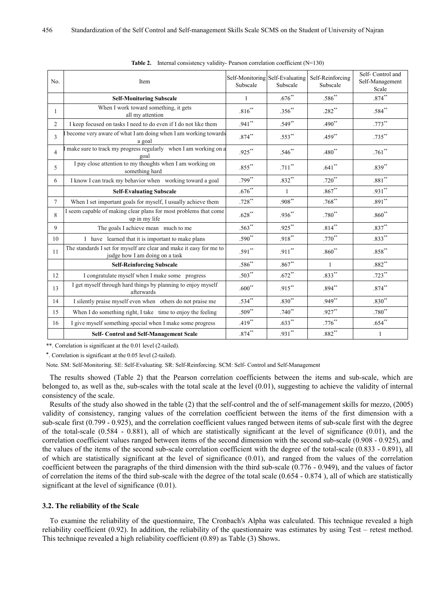| No.            | Item                                                                                                  | Subscale  | Self-Monitoring Self-Evaluating<br>Subscale | Self-Reinforcing<br>Subscale | Self-Control and<br>Self-Management<br>Scale |
|----------------|-------------------------------------------------------------------------------------------------------|-----------|---------------------------------------------|------------------------------|----------------------------------------------|
|                | <b>Self-Monitoring Subscale</b>                                                                       | 1         | $.676**$                                    | $.586^{**}$                  | $.874***$                                    |
| $\mathbf{1}$   | When I work toward something, it gets<br>all my attention                                             | $.816**$  | $.356**$                                    | $.282**$                     | $.584**$                                     |
| $\overline{2}$ | I keep focused on tasks I need to do even if I do not like them                                       | $.941**$  | $.549**$                                    | $.490**$                     | $.773***$                                    |
| 3              | become very aware of what I am doing when I am working towards<br>a goal                              | $.874***$ | $.553***$                                   | $.459***$                    | $.735***$                                    |
| $\overline{4}$ | make sure to track my progress regularly when I am working on a<br>goal                               | .925**    | $.546**$                                    | $.480**$                     | $.761**$                                     |
| 5              | I pay close attention to my thoughts when I am working on<br>something hard                           | $.855***$ | $.711***$                                   | $.641**$                     | $.839**$                                     |
| 6              | I know I can track my behavior when working toward a goal                                             | .799**    | $.832**$                                    | $.720**$                     | $.881**$                                     |
|                | <b>Self-Evaluating Subscale</b>                                                                       | $.676**$  | $\mathbf{1}$                                | $.867**$                     | $.931**$                                     |
| $\tau$         | When I set important goals for myself, I usually achieve them                                         | $.728**$  | $.908**$                                    | $.768**$                     | $.891**$                                     |
| 8              | I seem capable of making clear plans for most problems that come<br>up in my life                     | $.628**$  | $.936***$                                   | $.780**$                     | $.860**$                                     |
| 9              | The goals I achieve mean much to me                                                                   | $.563**$  | $.925***$                                   | $.814***$                    | $.837**$                                     |
| 10             | I have learned that it is important to make plans                                                     | $.590**$  | $.918***$                                   | $.770**$                     | $.833***$                                    |
| 11             | The standards I set for myself are clear and make it easy for me to<br>judge how I am doing on a task | $.591**$  | $.911***$                                   | $.860**$                     | $.858***$                                    |
|                | <b>Self-Reinforcing Subscale</b>                                                                      | $.586**$  | $.867**$                                    | $\mathbf{1}$                 | $.882**$                                     |
| 12             | I congratulate myself when I make some progress                                                       | $.503**$  | $.672**$                                    | $.833***$                    | $.723**$                                     |
| 13             | I get myself through hard things by planning to enjoy myself<br>afterwards                            | $.600**$  | $.915***$                                   | $.894***$                    | $.874***$                                    |
| 14             | I silently praise myself even when others do not praise me                                            | $.534**$  | $.830**$                                    | $.949***$                    | $.830**$                                     |
| 15             | When I do something right, I take time to enjoy the feeling                                           | $.509**$  | $.740**$                                    | $.927***$                    | $.780**$                                     |
| 16             | I give myself something special when I make some progress                                             | $.419**$  | $.633***$                                   | $.776***$                    | $.654**$                                     |
|                | Self- Control and Self-Management Scale                                                               | $.874**$  | .931**                                      | $.882***$                    | 1                                            |

**Table 2.** Internal consistency validity- Pearson correlation coefficient (N=130)

\*\*. Correlation is significant at the 0.01 level (2-tailed).

\*. Correlation is significant at the 0.05 level (2-tailed).

Note. SM: Self-Monitoring. SE: Self-Evaluating. SR: Self-Reinforcing. SCM: Self- Control and Self-Management

The results showed (Table 2) that the Pearson correlation coefficients between the items and sub-scale, which are belonged to, as well as the, sub-scales with the total scale at the level (0.01), suggesting to achieve the validity of internal consistency of the scale.

Results of the study also showed in the table (2) that the self-control and the of self-management skills for mezzo, (2005) validity of consistency, ranging values of the correlation coefficient between the items of the first dimension with a sub-scale first (0.799 - 0.925), and the correlation coefficient values ranged between items of sub-scale first with the degree of the total-scale  $(0.584 - 0.881)$ , all of which are statistically significant at the level of significance  $(0.01)$ , and the correlation coefficient values ranged between items of the second dimension with the second sub-scale (0.908 - 0.925), and the values of the items of the second sub-scale correlation coefficient with the degree of the total-scale (0.833 - 0.891), all of which are statistically significant at the level of significance (0.01), and ranged from the values of the correlation coefficient between the paragraphs of the third dimension with the third sub-scale (0.776 - 0.949), and the values of factor of correlation the items of the third sub-scale with the degree of the total scale (0.654 - 0.874 ), all of which are statistically significant at the level of significance  $(0.01)$ .

#### **3.2. The reliability of the Scale**

To examine the reliability of the questionnaire, The Cronbach's Alpha was calculated. This technique revealed a high reliability coefficient (0.92). In addition, the reliability of the questionnaire was estimates by using Test – retest method. This technique revealed a high reliability coefficient (0.89) as Table (3) Shows.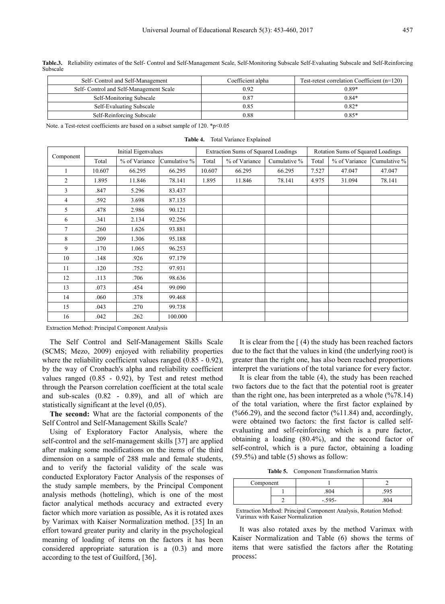| Self-Control and Self-Management       | Coefficient alpha | Test-retest correlation Coefficient $(n=120)$ |
|----------------------------------------|-------------------|-----------------------------------------------|
| Self-Control and Self-Management Scale | 0.92              | 0.89*                                         |
| Self-Monitoring Subscale               | 0.87              | $0.84*$                                       |
| Self-Evaluating Subscale               | 0.85              | $0.82*$                                       |
| Self-Reinforcing Subscale              | 0.88              | $0.85*$                                       |

**Table.3.** Reliability estimates of the Self- Control and Self-Management Scale, Self-Monitoring Subscale Self-Evaluating Subscale and Self-Reinforcing Subscale

Note. a Test-retest coefficients are based on a subset sample of 120. \*p<0.05

|           | Initial Eigenvalues |               | <b>Extraction Sums of Squared Loadings</b> |        |               | Rotation Sums of Squared Loadings |       |               |              |
|-----------|---------------------|---------------|--------------------------------------------|--------|---------------|-----------------------------------|-------|---------------|--------------|
| Component | Total               | % of Variance | Cumulative %                               | Total  | % of Variance | Cumulative %                      | Total | % of Variance | Cumulative % |
|           | 10.607              | 66.295        | 66.295                                     | 10.607 | 66.295        | 66.295                            | 7.527 | 47.047        | 47.047       |
| 2         | 1.895               | 11.846        | 78.141                                     | 1.895  | 11.846        | 78.141                            | 4.975 | 31.094        | 78.141       |
| 3         | .847                | 5.296         | 83.437                                     |        |               |                                   |       |               |              |
| 4         | .592                | 3.698         | 87.135                                     |        |               |                                   |       |               |              |
| 5         | .478                | 2.986         | 90.121                                     |        |               |                                   |       |               |              |
| 6         | .341                | 2.134         | 92.256                                     |        |               |                                   |       |               |              |
| 7         | .260                | 1.626         | 93.881                                     |        |               |                                   |       |               |              |
| 8         | .209                | 1.306         | 95.188                                     |        |               |                                   |       |               |              |
| 9         | .170                | 1.065         | 96.253                                     |        |               |                                   |       |               |              |
| 10        | .148                | .926          | 97.179                                     |        |               |                                   |       |               |              |
| 11        | .120                | .752          | 97.931                                     |        |               |                                   |       |               |              |
| 12        | .113                | .706          | 98.636                                     |        |               |                                   |       |               |              |
| 13        | .073                | .454          | 99.090                                     |        |               |                                   |       |               |              |
| 14        | .060                | .378          | 99.468                                     |        |               |                                   |       |               |              |
| 15        | .043                | .270          | 99.738                                     |        |               |                                   |       |               |              |
| 16        | .042                | .262          | 100.000                                    |        |               |                                   |       |               |              |

**Table 4.** Total Variance Explained

Extraction Method: Principal Component Analysis

The Self Control and Self-Management Skills Scale (SCMS; Mezo, 2009) enjoyed with reliability properties where the reliability coefficient values ranged (0.85 - 0.92), by the way of Cronbach's alpha and reliability coefficient values ranged (0.85 - 0.92), by Test and retest method through the Pearson correlation coefficient at the total scale and sub-scales (0.82 - 0.89), and all of which are statistically significant at the level (0,05).

**The second:** What are the factorial components of the Self Control and Self-Management Skills Scale?

Using of Exploratory Factor Analysis, where the self-control and the self-management skills [37] are applied after making some modifications on the items of the third dimension on a sample of 288 male and female students, and to verify the factorial validity of the scale was conducted Exploratory Factor Analysis of the responses of the study sample members, by the Principal Component analysis methods (hotteling), which is one of the most factor analytical methods accuracy and extracted every factor which more variation as possible, As it is rotated axes by Varimax with Kaiser Normalization method. [35] In an effort toward greater purity and clarity in the psychological meaning of loading of items on the factors it has been considered appropriate saturation is a (0.3) and more according to the test of Guilford, [36].

It is clear from the  $(4)$  the study has been reached factors due to the fact that the values in kind (the underlying root) is greater than the right one, has also been reached proportions interpret the variations of the total variance for every factor.

It is clear from the table (4), the study has been reached two factors due to the fact that the potential root is greater than the right one, has been interpreted as a whole (%78.14) of the total variation, where the first factor explained by  $(\%66.29)$ , and the second factor  $(\%11.84)$  and, accordingly, were obtained two factors: the first factor is called selfevaluating and self-reinforcing which is a pure factor, obtaining a loading (80.4%), and the second factor of self-control, which is a pure factor, obtaining a loading (59.5%) and table (5) shows as follow:

**Table 5.** Component Transformation Matrix

| Component |      |  |
|-----------|------|--|
|           | .804 |  |
|           | . .  |  |

Extraction Method: Principal Component Analysis, Rotation Method: Varimax with Kaiser Normalization

It was also rotated axes by the method Varimax with Kaiser Normalization and Table (6) shows the terms of items that were satisfied the factors after the Rotating process: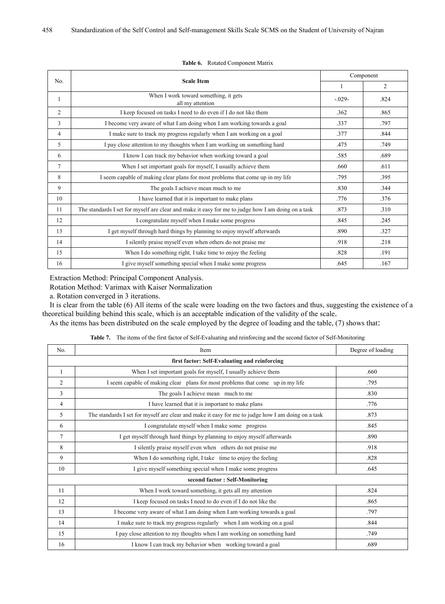| No. | <b>Scale Item</b>                                                                                  |          | Component |  |  |
|-----|----------------------------------------------------------------------------------------------------|----------|-----------|--|--|
|     |                                                                                                    |          | 2         |  |  |
| 1   | When I work toward something, it gets<br>all my attention                                          | $-.029-$ | .824      |  |  |
| 2   | I keep focused on tasks I need to do even if I do not like them                                    | .362     | .865      |  |  |
| 3   | I become very aware of what I am doing when I am working towards a goal                            | .337     | .797      |  |  |
| 4   | I make sure to track my progress regularly when I am working on a goal                             | .377     | .844      |  |  |
| 5   | I pay close attention to my thoughts when I am working on something hard                           | .475     | .749      |  |  |
| 6   | I know I can track my behavior when working toward a goal                                          | .585     | .689      |  |  |
| 7   | When I set important goals for myself, I usually achieve them                                      | .660     | .611      |  |  |
| 8   | I seem capable of making clear plans for most problems that come up in my life                     | .795     | .395      |  |  |
| 9   | The goals I achieve mean much to me                                                                | .830     | .344      |  |  |
| 10  | I have learned that it is important to make plans                                                  | .776     | .376      |  |  |
| 11  | The standards I set for myself are clear and make it easy for me to judge how I am doing on a task | .873     | .310      |  |  |
| 12  | I congratulate myself when I make some progress                                                    | .845     | .245      |  |  |
| 13  | I get myself through hard things by planning to enjoy myself afterwards                            | .890     | .327      |  |  |
| 14  | I silently praise myself even when others do not praise me                                         | .918     | .218      |  |  |
| 15  | When I do something right, I take time to enjoy the feeling                                        | .828     | .191      |  |  |
| 16  | I give myself something special when I make some progress                                          | .645     | .167      |  |  |

| Table 6. Rotated Component Matrix |
|-----------------------------------|
|-----------------------------------|

Extraction Method: Principal Component Analysis.

Rotation Method: Varimax with Kaiser Normalization

a. Rotation converged in 3 iterations.

It is clear from the table (6) All items of the scale were loading on the two factors and thus, suggesting the existence of a theoretical building behind this scale, which is an acceptable indication of the validity of the scale.

As the items has been distributed on the scale employed by the degree of loading and the table, (7) shows that:

| No.                                           | Item                                                                                               | Degree of loading |  |  |  |
|-----------------------------------------------|----------------------------------------------------------------------------------------------------|-------------------|--|--|--|
| first factor: Self-Evaluating and reinforcing |                                                                                                    |                   |  |  |  |
| 1                                             | When I set important goals for myself, I usually achieve them                                      | .660              |  |  |  |
| $\overline{2}$                                | I seem capable of making clear plans for most problems that come up in my life                     | .795              |  |  |  |
| 3                                             | The goals I achieve mean much to me                                                                | .830              |  |  |  |
| $\overline{4}$                                | I have learned that it is important to make plans                                                  | .776              |  |  |  |
| 5                                             | The standards I set for myself are clear and make it easy for me to judge how I am doing on a task | .873              |  |  |  |
| 6                                             | I congratulate myself when I make some progress                                                    | .845              |  |  |  |
| 7                                             | I get myself through hard things by planning to enjoy myself afterwards                            | .890              |  |  |  |
| 8                                             | I silently praise myself even when others do not praise me                                         | .918              |  |  |  |
| 9                                             | When I do something right, I take time to enjoy the feeling                                        | .828              |  |  |  |
| 10                                            | I give myself something special when I make some progress                                          | .645              |  |  |  |
| second factor: Self-Monitoring                |                                                                                                    |                   |  |  |  |
| 11                                            | When I work toward something, it gets all my attention                                             | .824              |  |  |  |
| 12                                            | I keep focused on tasks I need to do even if I do not like the                                     | .865              |  |  |  |
| 13                                            | I become very aware of what I am doing when I am working towards a goal                            | .797              |  |  |  |
| 14                                            | I make sure to track my progress regularly when I am working on a goal                             | .844              |  |  |  |
| 15                                            | I pay close attention to my thoughts when I am working on something hard                           | .749              |  |  |  |
| 16                                            | I know I can track my behavior when working toward a goal                                          | .689              |  |  |  |

**Table 7.** The items of the first factor of Self-Evaluating and reinforcing and the second factor of Self-Monitoring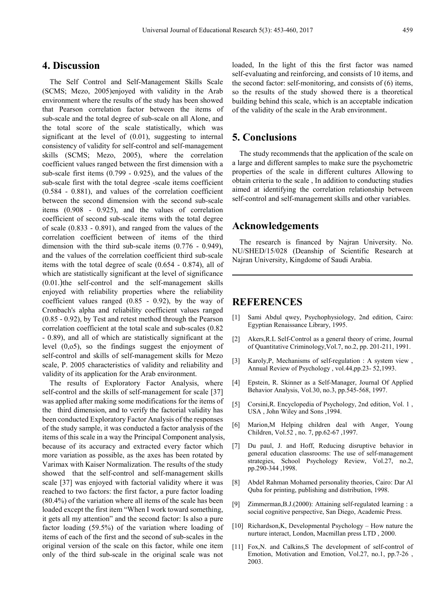## **4. Discussion**

The Self Control and Self-Management Skills Scale (SCMS; Mezo, 2005)enjoyed with validity in the Arab environment where the results of the study has been showed that Pearson correlation factor between the items of sub-scale and the total degree of sub-scale on all Alone, and the total score of the scale statistically, which was significant at the level of  $(0.01)$ , suggesting to internal consistency of validity for self-control and self-management skills (SCMS; Mezo, 2005), where the correlation coefficient values ranged between the first dimension with a sub-scale first items (0.799 - 0.925), and the values of the sub-scale first with the total degree -scale items coefficient (0.584 - 0.881), and values of the correlation coefficient between the second dimension with the second sub-scale items (0.908 - 0.925), and the values of correlation coefficient of second sub-scale items with the total degree of scale (0.833 - 0.891), and ranged from the values of the correlation coefficient between of items of the third dimension with the third sub-scale items (0.776 - 0.949), and the values of the correlation coefficient third sub-scale items with the total degree of scale (0.654 - 0.874), all of which are statistically significant at the level of significance (0.01.)the self-control and the self-management skills enjoyed with reliability properties where the reliability coefficient values ranged (0.85 - 0.92), by the way of Cronbach's alpha and reliability coefficient values ranged (0.85 - 0.92), by Test and retest method through the Pearson correlation coefficient at the total scale and sub-scales (0.82 - 0.89), and all of which are statistically significant at the level (0,o5), so the findings suggest the enjoyment of self-control and skills of self-management skills for Mezo scale, P. 2005 characteristics of validity and reliability and validity of its application for the Arab environment.

The results of Exploratory Factor Analysis, where self-control and the skills of self-management for scale [37] was applied after making some modifications for the items of the third dimension, and to verify the factorial validity has been conducted Exploratory Factor Analysis of the responses of the study sample, it was conducted a factor analysis of the items of this scale in a way the Principal Component analysis, because of its accuracy and extracted every factor which more variation as possible, as the axes has been rotated by Varimax with Kaiser Normalization. The results of the study showed that the self-control and self-management skills scale [37] was enjoyed with factorial validity where it was reached to two factors: the first factor, a pure factor loading (80.4%) of the variation where all items of the scale has been loaded except the first item "When I work toward something, it gets all my attention" and the second factor: Is also a pure factor loading (59.5%) of the variation where loading of items of each of the first and the second of sub-scales in the original version of the scale on this factor, while one item only of the third sub-scale in the original scale was not

loaded, In the light of this the first factor was named self-evaluating and reinforcing, and consists of 10 items, and the second factor: self-monitoring, and consists of (6) items, so the results of the study showed there is a theoretical building behind this scale, which is an acceptable indication of the validity of the scale in the Arab environment.

# **5. Conclusions**

The study recommends that the application of the scale on a large and different samples to make sure the psychometric properties of the scale in different cultures Allowing to obtain criteria to the scale , In addition to conducting studies aimed at identifying the correlation relationship between self-control and self-management skills and other variables.

## **Acknowledgements**

The research is financed by Najran University. No. NU/SHED/15/028 (Deanship of Scientific Research at Najran University, Kingdome of Saudi Arabia.

## **REFERENCES**

- [1] Sami Abdul qwey, Psychophysiology, 2nd edition, Cairo: Egyptian Renaissance Library, 1995.
- [2] Akers,R.L Self-Control as a general theory of crime, Journal of Quantitative Criminology,Vol.7, no.2, pp. 201-211, 1991.
- [3] Karoly,P, Mechanisms of self-regulation : A system view , Annual Review of Psychology , vol.44,pp.23- 52,1993.
- [4] Epstein, R. Skinner as a Self-Manager, Journal Of Applied Behavior Analysis, Vol.30, no.3, pp.545-568, 1997.
- [5] Corsini,R. Encyclopedia of Psychology, 2nd edition, Vol. 1 , USA , John Wiley and Sons ,1994.
- [6] Marion,M Helping children deal with Anger, Young Children, Vol.52 , no. 7, pp.62-67 ,1997.
- [7] Du paul, J. and Hoff, Reducing disruptive behavior in general education classrooms: The use of self-management strategies, School Psychology Review, Vol.27, no.2, pp.290-344 ,1998.
- [8] Abdel Rahman Mohamed personality theories, Cairo: Dar Al Quba for printing, publishing and distribution, 1998.
- [9] Zimmerman,B.J.(2000): Attaining self-regulated learning : a social cognitive perspective, San Diego, Academic Press.
- [10] Richardson,K, Developmental Psychology How nature the nurture interact, London, Macmillan press LTD , 2000.
- [11] Fox, N. and Calkins, S. The development of self-control of Emotion, Motivation and Emotion, Vol.27, no.1, pp.7-26 , 2003.